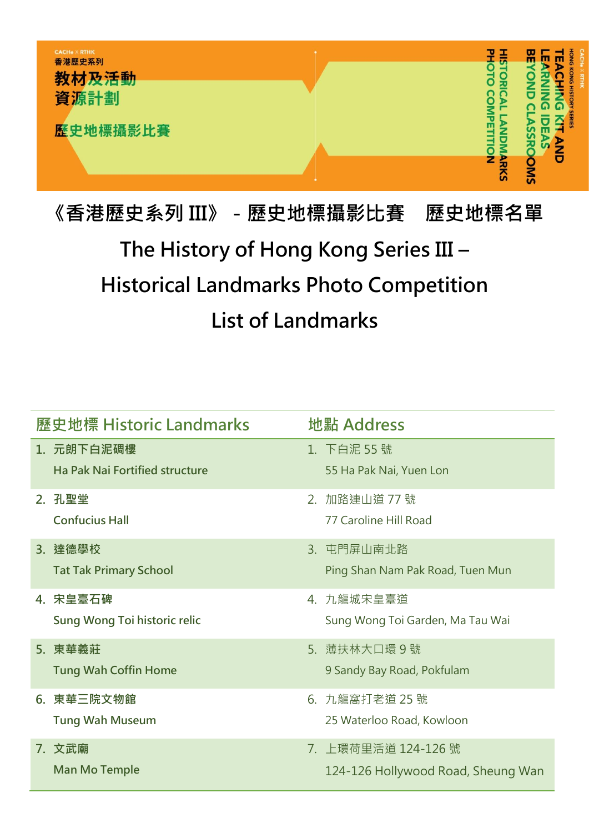

## 《香港歷史系列 III》-歷史地標攝影比賽 歷史地標名單 The History of Hong Kong Series III – Historical Landmarks Photo Competition List of Landmarks

| 歷史地標 Historic Landmarks |                                                     |    | 地點 Address                                                |  |
|-------------------------|-----------------------------------------------------|----|-----------------------------------------------------------|--|
|                         | 1. 元朗下白泥碉樓<br><b>Ha Pak Naj Fortified structure</b> |    | 1. 下白泥 55 號<br>55 Ha Pak Nai, Yuen Lon                    |  |
| 2. 孔聖堂                  | <b>Confucius Hall</b>                               | 2. | 加路連山道 77 號<br>77 Caroline Hill Road                       |  |
| 3. 達德學校                 | <b>Tat Tak Primary School</b>                       |    | 3. 屯門屏山南北路<br>Ping Shan Nam Pak Road, Tuen Mun            |  |
| 4. 宋皇臺石碑                | Sung Wong Toi historic relic                        |    | 4. 九龍城宋皇臺道<br>Sung Wong Toi Garden, Ma Tau Wai            |  |
| 5. 東華義莊                 | <b>Tung Wah Coffin Home</b>                         |    | 5. 薄扶林大口環9號<br>9 Sandy Bay Road, Pokfulam                 |  |
|                         | 6. 東華三院文物館<br><b>Tung Wah Museum</b>                |    | 6. 九龍窩打老道 25號<br>25 Waterloo Road, Kowloon                |  |
| 7. 文武廟                  | <b>Man Mo Temple</b>                                |    | 7. 上環荷里活道 124-126 號<br>124-126 Hollywood Road, Sheung Wan |  |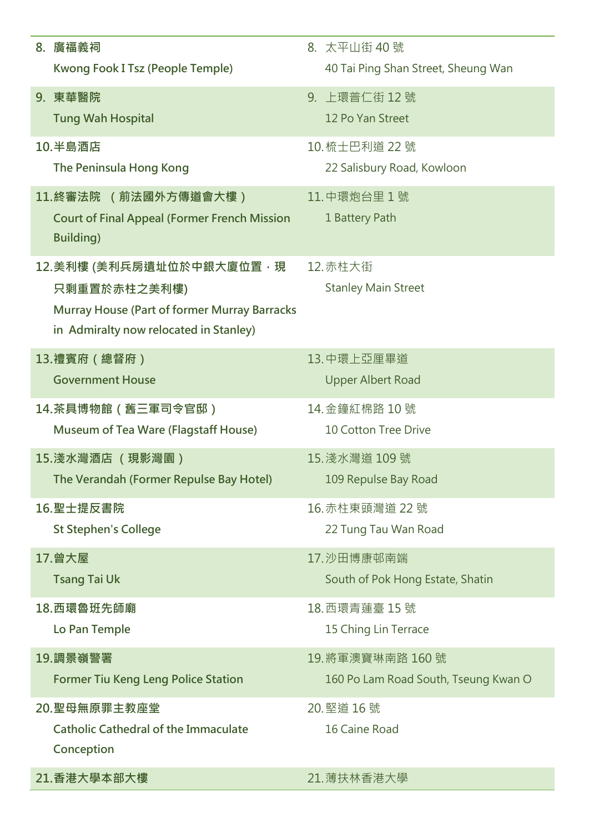| 8. 廣福義祠                                                                                       | 8. 太平山街 40號                          |
|-----------------------------------------------------------------------------------------------|--------------------------------------|
| Kwong Fook I Tsz (People Temple)                                                              | 40 Tai Ping Shan Street, Sheung Wan  |
|                                                                                               |                                      |
| 9. 東華醫院                                                                                       | 9. 上環普仁街 12號                         |
| <b>Tung Wah Hospital</b>                                                                      | 12 Po Yan Street                     |
| 10.半島酒店                                                                                       | 10. 梳士巴利道 22 號                       |
| The Peninsula Hong Kong                                                                       | 22 Salisbury Road, Kowloon           |
| 11.終審法院 (前法國外方傳道會大樓)                                                                          | 11. 中環炮台里 1號                         |
| <b>Court of Final Appeal (Former French Mission</b>                                           | 1 Battery Path                       |
| <b>Building)</b>                                                                              |                                      |
| 12.美利樓 (美利兵房遺址位於中銀大廈位置,現                                                                      | 12. 赤柱大街                             |
| 只剩重置於赤柱之美利樓)                                                                                  | <b>Stanley Main Street</b>           |
|                                                                                               |                                      |
| <b>Murray House (Part of former Murray Barracks</b><br>in Admiralty now relocated in Stanley) |                                      |
|                                                                                               |                                      |
| 13.禮賓府(總督府)                                                                                   | 13.中環上亞厘畢道                           |
| <b>Government House</b>                                                                       | <b>Upper Albert Road</b>             |
| 14.茶具博物館(舊三軍司令官邸)                                                                             | 14. 金鐘紅棉路 10號                        |
| Museum of Tea Ware (Flagstaff House)                                                          | <b>10 Cotton Tree Drive</b>          |
| 15.淺水灣酒店 (現影灣園)                                                                               | 15. 淺水灣道 109 號                       |
| The Verandah (Former Repulse Bay Hotel)                                                       | 109 Repulse Bay Road                 |
|                                                                                               |                                      |
| 16. 聖士提反書院                                                                                    | 16. 赤柱東頭灣道 22 號                      |
| <b>St Stephen's College</b>                                                                   | 22 Tung Tau Wan Road                 |
| 17.曾大屋                                                                                        | 17. 沙田博康邨南端                          |
| <b>Tsang Tai Uk</b>                                                                           | South of Pok Hong Estate, Shatin     |
| 18.西環魯班先師廟                                                                                    | 18. 西環青蓮臺 15號                        |
|                                                                                               |                                      |
| Lo Pan Temple                                                                                 | 15 Ching Lin Terrace                 |
| 19. 調景嶺警署                                                                                     | 19. 將軍澳寶琳南路 160 號                    |
| <b>Former Tiu Keng Leng Police Station</b>                                                    | 160 Po Lam Road South, Tseung Kwan O |
| 20.聖母無原罪主教座堂                                                                                  | 20. 堅道 16 號                          |
| <b>Catholic Cathedral of the Immaculate</b>                                                   | 16 Caine Road                        |
| Conception                                                                                    |                                      |
| 21.香港大學本部大樓                                                                                   | 21. 薄扶林香港大學                          |
|                                                                                               |                                      |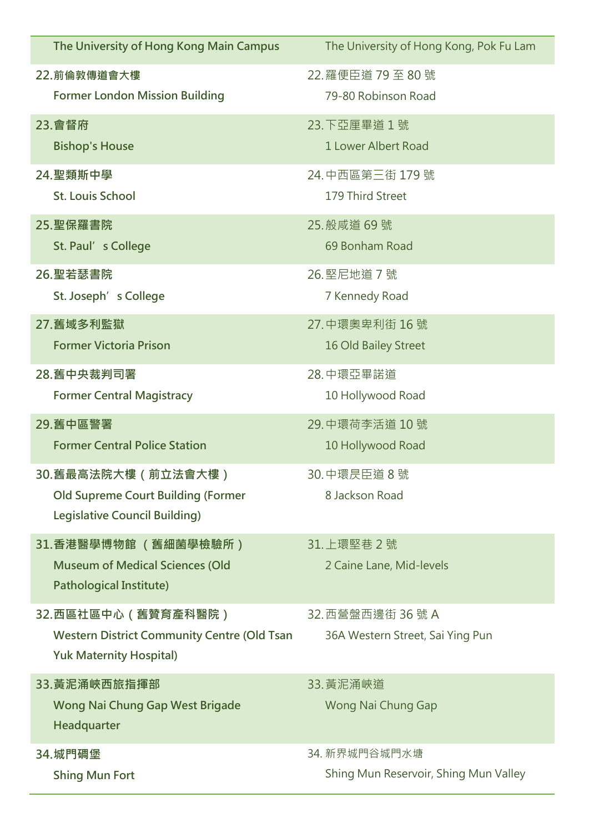| The University of Hong Kong Main Campus                                                                       | The University of Hong Kong, Pok Fu Lam               |
|---------------------------------------------------------------------------------------------------------------|-------------------------------------------------------|
| 22. 前倫敦傳道會大樓                                                                                                  | 22. 羅便臣道 79 至 80 號                                    |
| <b>Former London Mission Building</b>                                                                         | 79-80 Robinson Road                                   |
| 23.會督府                                                                                                        | 23. 下亞厘畢道 1號                                          |
| <b>Bishop's House</b>                                                                                         | 1 Lower Albert Road                                   |
| 24. 聖類斯中學                                                                                                     | 24. 中西區第三街 179 號                                      |
| <b>St. Louis School</b>                                                                                       | 179 Third Street                                      |
| 25.聖保羅書院                                                                                                      | 25. 般咸道 69號                                           |
| St. Paul's College                                                                                            | 69 Bonham Road                                        |
| 26. 聖若瑟書院                                                                                                     | 26. 堅尼地道 7號                                           |
| St. Joseph's College                                                                                          | 7 Kennedy Road                                        |
| 27. 舊域多利監獄                                                                                                    | 27. 中環奧卑利街 16號                                        |
| <b>Former Victoria Prison</b>                                                                                 | 16 Old Bailey Street                                  |
| 28.舊中央裁判司署                                                                                                    | 28.中環亞畢諾道                                             |
| <b>Former Central Magistracy</b>                                                                              | 10 Hollywood Road                                     |
| 29. 舊中區警署                                                                                                     | 29. 中環荷李活道 10號                                        |
| <b>Former Central Police Station</b>                                                                          | 10 Hollywood Road                                     |
| 30.舊最高法院大樓(前立法會大樓)<br><b>Old Supreme Court Building (Former</b><br><b>Legislative Council Building)</b>       | 30. 中環昃臣道 8 號<br>8 Jackson Road                       |
| 31.香港醫學博物館 (舊細菌學檢驗所)<br><b>Museum of Medical Sciences (Old</b><br><b>Pathological Institute)</b>              | 31. 上環堅巷 2 號<br>2 Caine Lane, Mid-levels              |
| 32.西區社區中心 ( 舊贊育產科醫院 )<br><b>Western District Community Centre (Old Tsan</b><br><b>Yuk Maternity Hospital)</b> | 32. 西營盤西邊街 36 號 A<br>36A Western Street, Sai Ying Pun |
| 33.黃泥涌峽西旅指揮部<br><b>Wong Nai Chung Gap West Brigade</b><br>Headquarter                                         | 33. 黃泥涌峽道<br>Wong Nai Chung Gap                       |
| 34.城門碉堡                                                                                                       | 34. 新界城門谷城門水塘                                         |
| <b>Shing Mun Fort</b>                                                                                         | Shing Mun Reservoir, Shing Mun Valley                 |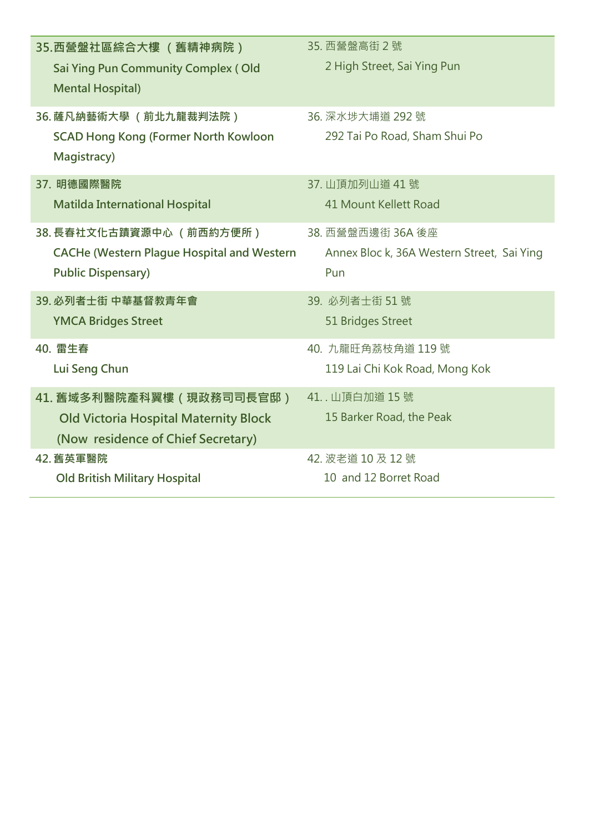| 35.西營盤社區綜合大樓 (舊精神病院)                                           | 35. 西營盤高街 2號                               |
|----------------------------------------------------------------|--------------------------------------------|
| Sai Ying Pun Community Complex (Old<br><b>Mental Hospital)</b> | 2 High Street, Sai Ying Pun                |
| 36. 薩凡納藝術大學 (前北九龍裁判法院 )                                        | 36. 深水埗大埔道 292 號                           |
| <b>SCAD Hong Kong (Former North Kowloon</b><br>Magistracy)     | 292 Tai Po Road, Sham Shui Po              |
| 37. 明德國際醫院                                                     | 37. 山頂加列山道 41號                             |
| <b>Matilda International Hospital</b>                          | 41 Mount Kellett Road                      |
| 38. 長春社文化古蹟資源中心 (前西約方便所)                                       | 38. 西營盤西邊街 36A 後座                          |
| <b>CACHe (Western Plague Hospital and Western</b>              | Annex Bloc k, 36A Western Street, Sai Ying |
| <b>Public Dispensary)</b>                                      | Pun                                        |
| 39. 必列者士街 中華基督教青年會                                             | 39. 必列者士街 51號                              |
| <b>YMCA Bridges Street</b>                                     | 51 Bridges Street                          |
| 40. 雷生春                                                        | 40. 九龍旺角荔枝角道 119號                          |
| Lui Seng Chun                                                  | 119 Lai Chi Kok Road, Mong Kok             |
| 41. 舊域多利醫院產科翼樓(現政務司司長官邸)                                       | 41 山頂白加道 15號                               |
| <b>Old Victoria Hospital Maternity Block</b>                   | 15 Barker Road, the Peak                   |
| (Now residence of Chief Secretary)                             |                                            |
| 42. 舊英軍醫院                                                      | 42. 波老道 10 及 12 號                          |
| <b>Old British Military Hospital</b>                           | 10 and 12 Borret Road                      |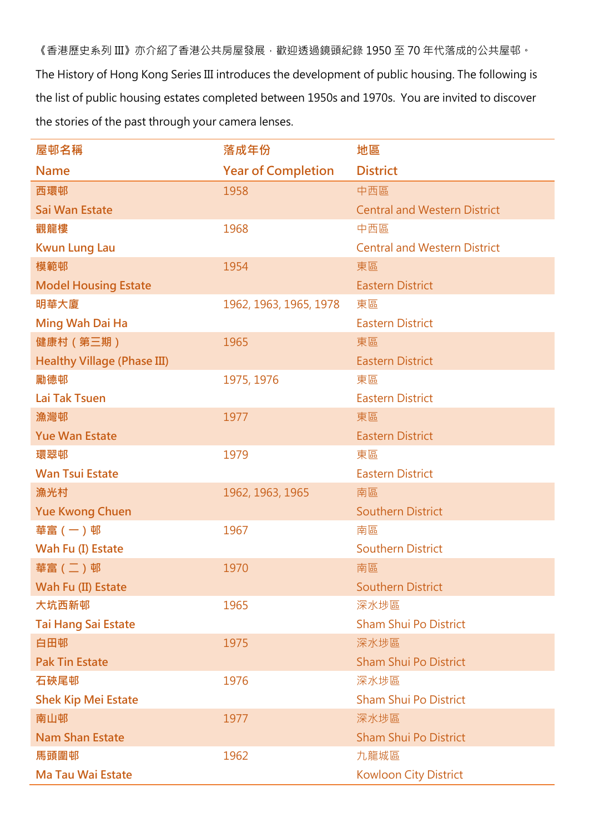《香港歷史系列 III》亦介紹了香港公共房屋發展,歡迎透過鏡頭紀錄 1950 至 70 年代落成的公共屋邨。 The History of Hong Kong Series III introduces the development of public housing. The following is the list of public housing estates completed between 1950s and 1970s. You are invited to discover the stories of the past through your camera lenses.

| 屋邨名稱                               | 落成年份                      | 地區                                  |
|------------------------------------|---------------------------|-------------------------------------|
| <b>Name</b>                        | <b>Year of Completion</b> | <b>District</b>                     |
| 西環邨                                | 1958                      | 中西區                                 |
| Sai Wan Estate                     |                           | <b>Central and Western District</b> |
| 觀龍樓                                | 1968                      | 中西區                                 |
| <b>Kwun Lung Lau</b>               |                           | <b>Central and Western District</b> |
| 模範邨                                | 1954                      | 東區                                  |
| <b>Model Housing Estate</b>        |                           | <b>Eastern District</b>             |
| 明華大廈                               | 1962, 1963, 1965, 1978    | 東區                                  |
| Ming Wah Dai Ha                    |                           | <b>Eastern District</b>             |
| 健康村 (第三期)                          | 1965                      | 東區                                  |
| <b>Healthy Village (Phase III)</b> |                           | <b>Eastern District</b>             |
| 勵德邨                                | 1975, 1976                | 東區                                  |
| Lai Tak Tsuen                      |                           | <b>Eastern District</b>             |
| 漁灣邨                                | 1977                      | 東區                                  |
| <b>Yue Wan Estate</b>              |                           | <b>Eastern District</b>             |
| 環翠邨                                | 1979                      | 東區                                  |
| <b>Wan Tsui Estate</b>             |                           | <b>Eastern District</b>             |
| 漁光村                                | 1962, 1963, 1965          | 南區                                  |
| <b>Yue Kwong Chuen</b>             |                           | <b>Southern District</b>            |
| 華富 (一) 邨                           | 1967                      | 南區                                  |
| Wah Fu (I) Estate                  |                           | <b>Southern District</b>            |
| 華富 (二) 邨                           | 1970                      | 南區                                  |
| Wah Fu (II) Estate                 |                           | <b>Southern District</b>            |
| 大坑西新邨                              | 1965                      | 深水埗區                                |
| <b>Tai Hang Sai Estate</b>         |                           | <b>Sham Shui Po District</b>        |
| 白田邨                                | 1975                      | 深水埗區                                |
| <b>Pak Tin Estate</b>              |                           | <b>Sham Shui Po District</b>        |
| 石硤尾邨                               | 1976                      | 深水埗區                                |
| <b>Shek Kip Mei Estate</b>         |                           | <b>Sham Shui Po District</b>        |
| 南山邨                                | 1977                      | 深水埗區                                |
| <b>Nam Shan Estate</b>             |                           | <b>Sham Shui Po District</b>        |
| 馬頭圍邨                               | 1962                      | 九龍城區                                |
| <b>Ma Tau Wai Estate</b>           |                           | <b>Kowloon City District</b>        |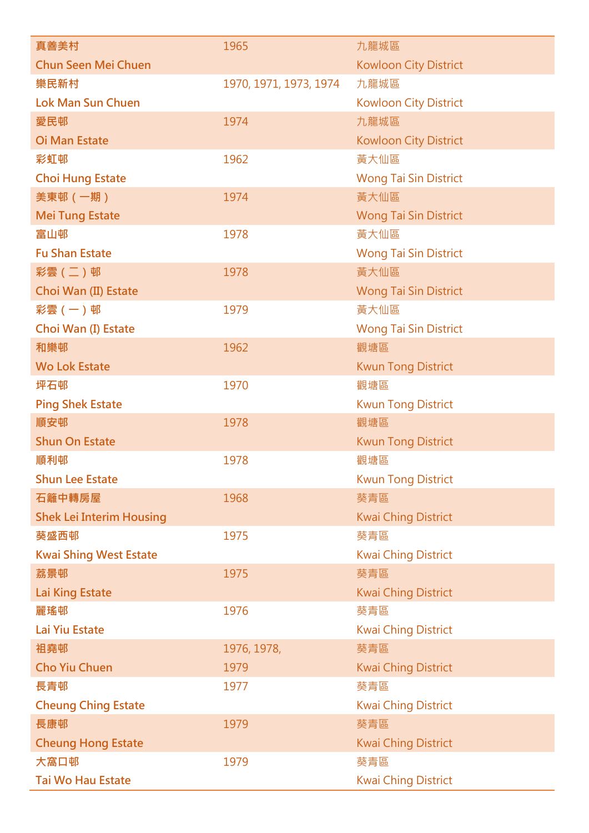| 真善美村                            | 1965                   | 九龍城區                         |
|---------------------------------|------------------------|------------------------------|
| <b>Chun Seen Mei Chuen</b>      |                        | <b>Kowloon City District</b> |
| 樂民新村                            | 1970, 1971, 1973, 1974 | 九龍城區                         |
| <b>Lok Man Sun Chuen</b>        |                        | <b>Kowloon City District</b> |
| 愛民邨                             | 1974                   | 九龍城區                         |
| <b>Oi Man Estate</b>            |                        | <b>Kowloon City District</b> |
| 彩虹邨                             | 1962                   | 黃大仙區                         |
| <b>Choi Hung Estate</b>         |                        | <b>Wong Tai Sin District</b> |
| 美東邨 (一期)                        | 1974                   | 黃大仙區                         |
| <b>Mei Tung Estate</b>          |                        | <b>Wong Tai Sin District</b> |
| 富山邨                             | 1978                   | 黃大仙區                         |
| <b>Fu Shan Estate</b>           |                        | Wong Tai Sin District        |
| 彩雲 (二)邨                         | 1978                   | 黃大仙區                         |
| Choi Wan (II) Estate            |                        | <b>Wong Tai Sin District</b> |
| 彩雲 (一)邨                         | 1979                   | 黃大仙區                         |
| Choi Wan (I) Estate             |                        | <b>Wong Tai Sin District</b> |
| 和樂邨                             | 1962                   | 觀塘區                          |
| <b>Wo Lok Estate</b>            |                        | <b>Kwun Tong District</b>    |
| 坪石邨                             | 1970                   | 觀塘區                          |
| <b>Ping Shek Estate</b>         |                        | <b>Kwun Tong District</b>    |
| 順安邨                             | 1978                   | 觀塘區                          |
| <b>Shun On Estate</b>           |                        | <b>Kwun Tong District</b>    |
| 順利邨                             | 1978                   | 觀塘區                          |
| <b>Shun Lee Estate</b>          |                        | <b>Kwun Tong District</b>    |
| 石籬中轉房屋                          | 1968                   | 葵青區                          |
| <b>Shek Lei Interim Housing</b> |                        | <b>Kwai Ching District</b>   |
| 葵盛西邨                            | 1975                   | 葵青區                          |
| <b>Kwai Shing West Estate</b>   |                        | <b>Kwai Ching District</b>   |
| 荔景邨                             | 1975                   | 葵青區                          |
| <b>Lai King Estate</b>          |                        | <b>Kwai Ching District</b>   |
| 麗瑤邨                             | 1976                   | 葵青區                          |
| Lai Yiu Estate                  |                        | <b>Kwai Ching District</b>   |
| 祖堯邨                             | 1976, 1978,            | 葵青區                          |
| <b>Cho Yiu Chuen</b>            | 1979                   | <b>Kwai Ching District</b>   |
| 長青邨                             | 1977                   | 葵青區                          |
| <b>Cheung Ching Estate</b>      |                        | <b>Kwai Ching District</b>   |
| 長康邨                             | 1979                   | 葵青區                          |
| <b>Cheung Hong Estate</b>       |                        | <b>Kwai Ching District</b>   |
| 大窩口邨                            | 1979                   | 葵青區                          |
| Tai Wo Hau Estate               |                        | <b>Kwai Ching District</b>   |